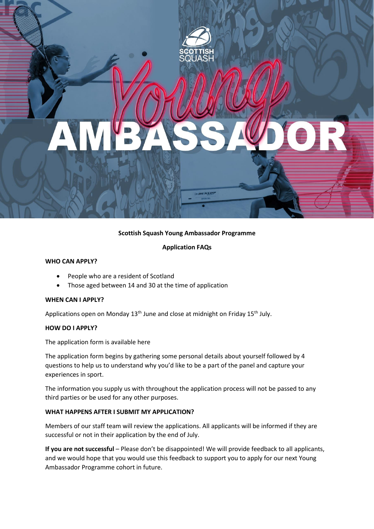# **Scottish Squash Young Ambassador Programme**

**Application FAQs**

### **WHO CAN APPLY?**

- People who are a resident of Scotland
- Those aged between 14 and 30 at the time of application

#### **WHEN CAN I APPLY?**

Applications open on Monday  $13<sup>th</sup>$  June and close at midnight on Friday  $15<sup>th</sup>$  July.

#### **HOW DO I APPLY?**

The application form is available here

The application form begins by gathering some personal details about yourself followed by 4 questions to help us to understand why you'd like to be a part of the panel and capture your experiences in sport.

The information you supply us with throughout the application process will not be passed to any third parties or be used for any other purposes.

#### **WHAT HAPPENS AFTER I SUBMIT MY APPLICATION?**

Members of our staff team will review the applications. All applicants will be informed if they are successful or not in their application by the end of July.

**If you are not successful** – Please don't be disappointed! We will provide feedback to all applicants, and we would hope that you would use this feedback to support you to apply for our next Young Ambassador Programme cohort in future.